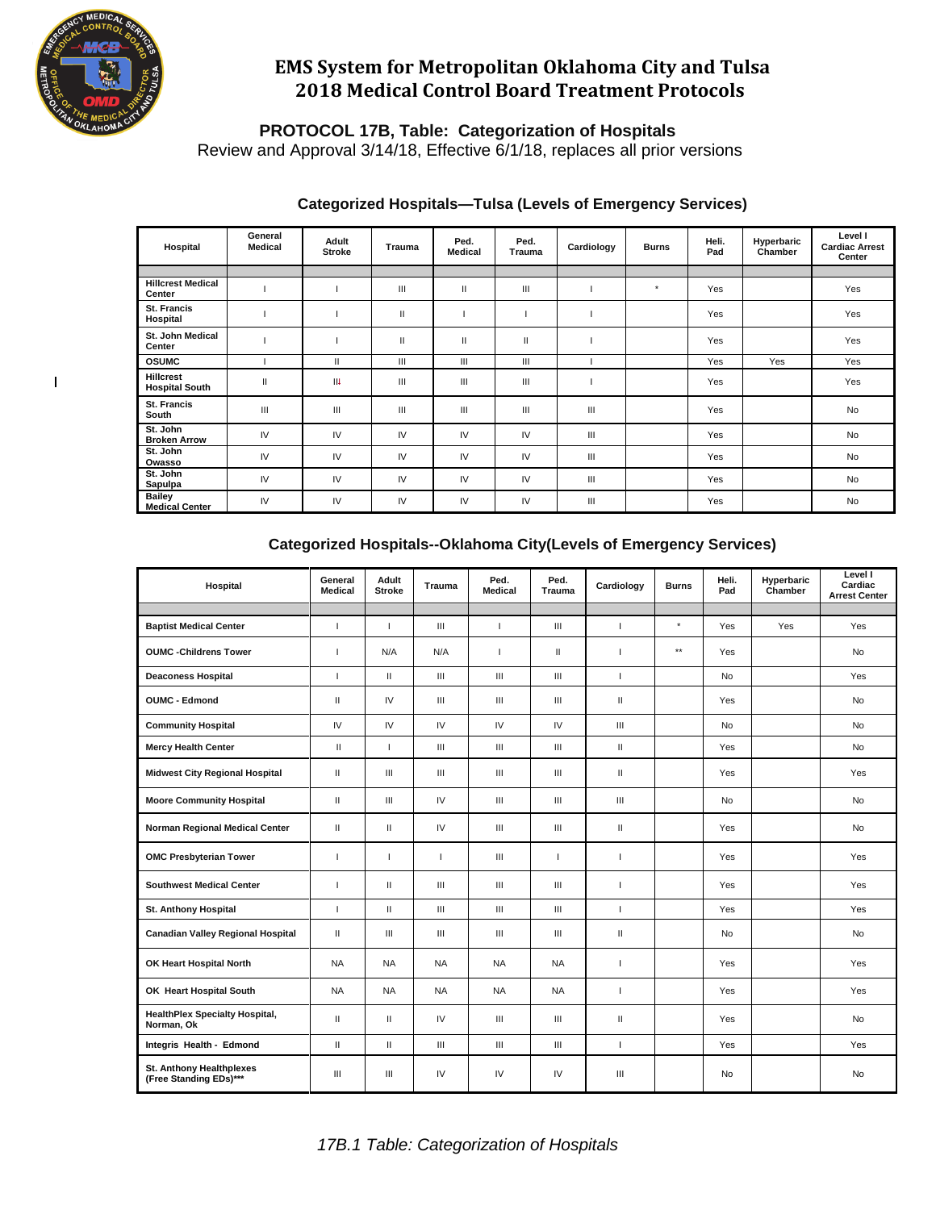

 $\mathsf I$ 

# **EMS System for Metropolitan Oklahoma City and Tulsa 2018 Medical Control Board Treatment Protocols**

**PROTOCOL 17B, Table: Categorization of Hospitals**

Review and Approval 3/14/18, Effective 6/1/18, replaces all prior versions

| Hospital                                  | General<br><b>Medical</b> | Adult<br><b>Stroke</b> | Trauma | Ped.<br><b>Medical</b> | Ped.<br>Trauma | Cardiology     | <b>Burns</b> | Heli.<br>Pad | Hyperbaric<br>Chamber | Level I<br><b>Cardiac Arrest</b><br>Center |
|-------------------------------------------|---------------------------|------------------------|--------|------------------------|----------------|----------------|--------------|--------------|-----------------------|--------------------------------------------|
|                                           |                           |                        |        |                        |                |                |              |              |                       |                                            |
| <b>Hillcrest Medical</b><br>Center        |                           |                        | Ш      | Ш                      | Ш              |                | $\star$      | Yes          |                       | Yes                                        |
| <b>St. Francis</b><br>Hospital            |                           |                        | Ш      |                        |                |                |              | Yes          |                       | Yes                                        |
| St. John Medical<br>Center                |                           |                        | Ш      | $\mathsf{II}$          | $\mathbf{I}$   |                |              | Yes          |                       | Yes                                        |
| <b>OSUMC</b>                              |                           | Ш                      | Ш      | Ш                      | Ш              |                |              | Yes          | Yes                   | Yes                                        |
| <b>Hillcrest</b><br><b>Hospital South</b> | $\mathbf{II}$             | $\mathsf{H}$           | Ш      | Ш                      | Ш              |                |              | Yes          |                       | Yes                                        |
| <b>St. Francis</b><br>South               | Ш                         | $\mathbf{III}$         | Ш      | Ш                      | Ш              | Ш              |              | Yes          |                       | <b>No</b>                                  |
| St. John<br><b>Broken Arrow</b>           | IV                        | IV                     | IV     | IV                     | IV             | III            |              | Yes          |                       | <b>No</b>                                  |
| St. John<br>Owasso                        | IV                        | IV                     | IV     | IV                     | IV             | Ш              |              | Yes          |                       | <b>No</b>                                  |
| St. John<br>Sapulpa                       | IV                        | IV                     | IV     | IV                     | IV             | Ш              |              | Yes          |                       | <b>No</b>                                  |
| <b>Bailey</b><br><b>Medical Center</b>    | IV                        | IV                     | IV     | IV                     | IV             | $\mathbf{III}$ |              | Yes          |                       | No                                         |

### **Categorized Hospitals—Tulsa (Levels of Emergency Services)**

### **Categorized Hospitals--Oklahoma City(Levels of Emergency Services)**

| Hospital                                                  | General<br><b>Medical</b> | Adult<br><b>Stroke</b> | Trauma                             | Ped.<br><b>Medical</b>             | Ped.<br>Trauma | Cardiology    | <b>Burns</b>    | Heli.<br>Pad | Hyperbaric<br>Chamber | Level I<br>Cardiac<br><b>Arrest Center</b> |
|-----------------------------------------------------------|---------------------------|------------------------|------------------------------------|------------------------------------|----------------|---------------|-----------------|--------------|-----------------------|--------------------------------------------|
|                                                           |                           |                        |                                    |                                    |                |               |                 |              |                       |                                            |
| <b>Baptist Medical Center</b>                             | J.                        | $\overline{1}$         | $\mathbf{III}$                     | $\mathbf{I}$                       | $\mathbf{III}$ | $\mathbf{I}$  | $\star$         | Yes          | Yes                   | Yes                                        |
| <b>OUMC -Childrens Tower</b>                              | $\overline{1}$            | N/A                    | N/A                                | $\overline{\phantom{a}}$           | $\mathbf{H}$   | п             | $^{\star\star}$ | Yes          |                       | <b>No</b>                                  |
| <b>Deaconess Hospital</b>                                 | $\mathbf{I}$              | $\mathbf{H}$           | III                                | $\mathbf{III}$                     | $\mathbf{III}$ | J.            |                 | <b>No</b>    |                       | Yes                                        |
| <b>OUMC - Edmond</b>                                      | $\mathbf{II}$             | IV                     | Ш                                  | Ш                                  | Ш              | $\mathbf{H}$  |                 | <b>Yes</b>   |                       | <b>No</b>                                  |
| <b>Community Hospital</b>                                 | IV                        | $\mathsf{IV}$          | IV                                 | IV                                 | IV             | Ш             |                 | <b>No</b>    |                       | <b>No</b>                                  |
| <b>Mercy Health Center</b>                                | $\mathbf{I}$              | $\overline{1}$         | III                                | $\mathbf{III}$                     | $\mathbf{III}$ | $\mathbf{H}$  |                 | Yes          |                       | <b>No</b>                                  |
| <b>Midwest City Regional Hospital</b>                     | $\mathbf{I}$              | Ш                      | Ш                                  | $\mathbf{III}$                     | $\mathbf{III}$ | $\mathbf{II}$ |                 | Yes          |                       | Yes                                        |
| <b>Moore Community Hospital</b>                           | $\mathbf{I}$              | Ш                      | IV                                 | $\mathbf{III}$                     | Ш              | Ш             |                 | <b>No</b>    |                       | No                                         |
| Norman Regional Medical Center                            | $\mathbf{II}$             | $\mathbf{H}$           | IV                                 | Ш                                  | Ш              | $\mathbf{H}$  |                 | Yes          |                       | <b>No</b>                                  |
| <b>OMC Presbyterian Tower</b>                             | J.                        | $\mathbf{I}$           | J.                                 | III                                | $\mathbf{I}$   | J.            |                 | Yes          |                       | Yes                                        |
| <b>Southwest Medical Center</b>                           | $\overline{1}$            | $\mathbf{H}$           | Ш                                  | Ш                                  | Ш              | п             |                 | Yes          |                       | Yes                                        |
| <b>St. Anthony Hospital</b>                               | т.                        | $\mathbf{H}$           | $\ensuremath{\mathsf{III}}\xspace$ | $\mathbf{III}$                     | $\mathbf{III}$ | J.            |                 | Yes          |                       | Yes                                        |
| <b>Canadian Valley Regional Hospital</b>                  | $\mathbf{I}$              | Ш                      | $\mathbf{III}$                     | $\ensuremath{\mathsf{III}}\xspace$ | $\mathbf{III}$ | $\mathbf{II}$ |                 | <b>No</b>    |                       | No                                         |
| OK Heart Hospital North                                   | <b>NA</b>                 | <b>NA</b>              | <b>NA</b>                          | <b>NA</b>                          | <b>NA</b>      | J.            |                 | Yes          |                       | Yes                                        |
| OK Heart Hospital South                                   | <b>NA</b>                 | <b>NA</b>              | <b>NA</b>                          | <b>NA</b>                          | <b>NA</b>      | J.            |                 | Yes          |                       | Yes                                        |
| <b>HealthPlex Specialty Hospital,</b><br>Norman, Ok       | $\mathbf{I}$              | $\mathbf{H}$           | IV                                 | III                                | Ш              | Ш             |                 | Yes          |                       | No                                         |
| Integris Health - Edmond                                  | $\mathbf{I}$              | $\mathbf{H}$           | $\mathbf{III}$                     | $\mathbf{III}$                     | Ш              | $\mathbf{I}$  |                 | Yes          |                       | Yes                                        |
| <b>St. Anthony Healthplexes</b><br>(Free Standing EDs)*** | III                       | Ш                      | IV                                 | IV                                 | IV             | $\mathbf{m}$  |                 | No           |                       | <b>No</b>                                  |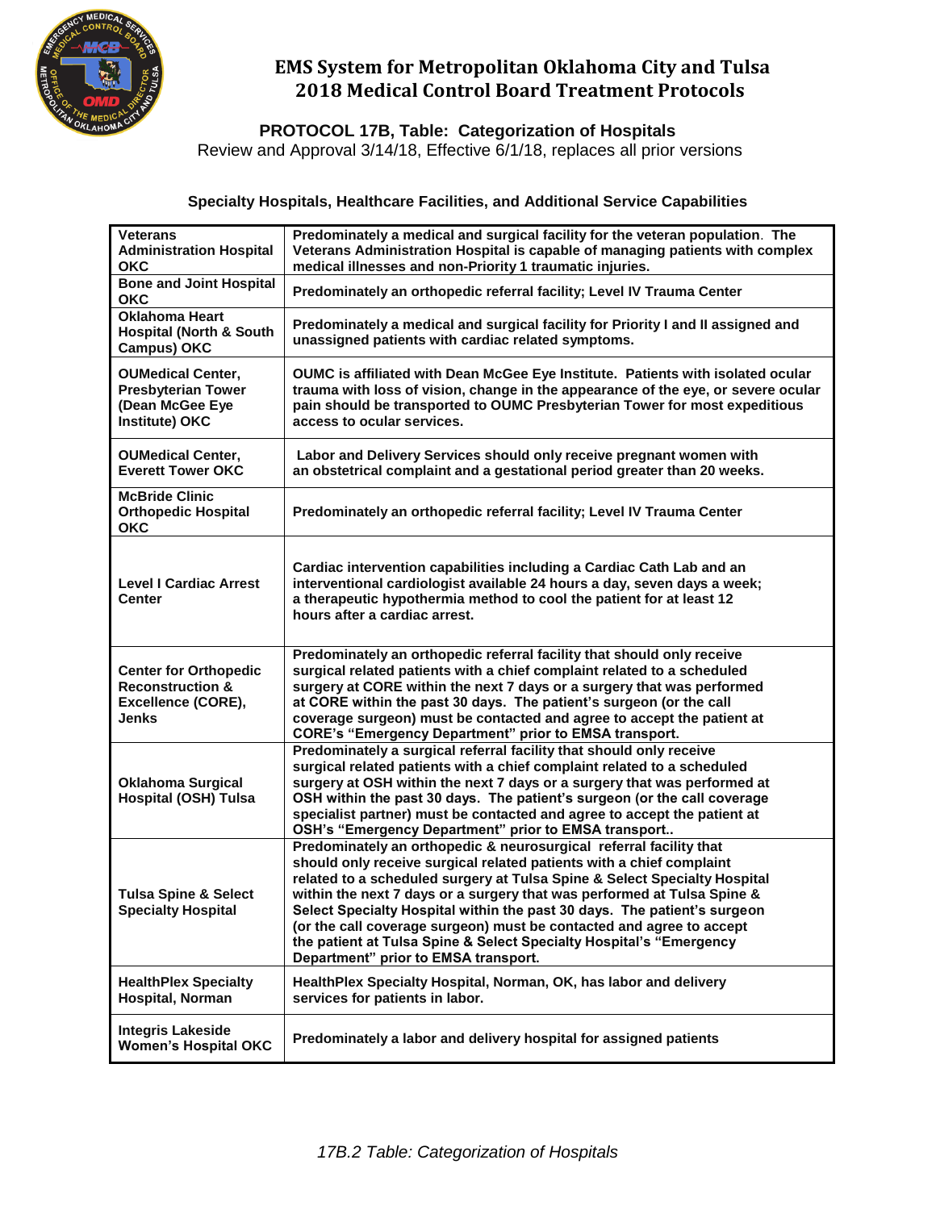

# **EMS System for Metropolitan Oklahoma City and Tulsa 2018 Medical Control Board Treatment Protocols**

**PROTOCOL 17B, Table: Categorization of Hospitals**

Review and Approval 3/14/18, Effective 6/1/18, replaces all prior versions

### **Specialty Hospitals, Healthcare Facilities, and Additional Service Capabilities**

| <b>Veterans</b><br><b>Administration Hospital</b><br><b>OKC</b>                                   | Predominately a medical and surgical facility for the veteran population. The<br>Veterans Administration Hospital is capable of managing patients with complex<br>medical illnesses and non-Priority 1 traumatic injuries.                                                                                                                                                                                                                                                                                                                                            |
|---------------------------------------------------------------------------------------------------|-----------------------------------------------------------------------------------------------------------------------------------------------------------------------------------------------------------------------------------------------------------------------------------------------------------------------------------------------------------------------------------------------------------------------------------------------------------------------------------------------------------------------------------------------------------------------|
| <b>Bone and Joint Hospital</b><br><b>OKC</b>                                                      | Predominately an orthopedic referral facility; Level IV Trauma Center                                                                                                                                                                                                                                                                                                                                                                                                                                                                                                 |
| <b>Oklahoma Heart</b><br><b>Hospital (North &amp; South</b><br><b>Campus) OKC</b>                 | Predominately a medical and surgical facility for Priority I and II assigned and<br>unassigned patients with cardiac related symptoms.                                                                                                                                                                                                                                                                                                                                                                                                                                |
| <b>OUMedical Center,</b><br><b>Presbyterian Tower</b><br>(Dean McGee Eye<br><b>Institute) OKC</b> | OUMC is affiliated with Dean McGee Eye Institute. Patients with isolated ocular<br>trauma with loss of vision, change in the appearance of the eye, or severe ocular<br>pain should be transported to OUMC Presbyterian Tower for most expeditious<br>access to ocular services.                                                                                                                                                                                                                                                                                      |
| <b>OUMedical Center,</b><br><b>Everett Tower OKC</b>                                              | Labor and Delivery Services should only receive pregnant women with<br>an obstetrical complaint and a gestational period greater than 20 weeks.                                                                                                                                                                                                                                                                                                                                                                                                                       |
| <b>McBride Clinic</b><br><b>Orthopedic Hospital</b><br><b>OKC</b>                                 | Predominately an orthopedic referral facility; Level IV Trauma Center                                                                                                                                                                                                                                                                                                                                                                                                                                                                                                 |
| <b>Level I Cardiac Arrest</b><br><b>Center</b>                                                    | Cardiac intervention capabilities including a Cardiac Cath Lab and an<br>interventional cardiologist available 24 hours a day, seven days a week;<br>a therapeutic hypothermia method to cool the patient for at least 12<br>hours after a cardiac arrest.                                                                                                                                                                                                                                                                                                            |
| <b>Center for Orthopedic</b><br><b>Reconstruction &amp;</b><br>Excellence (CORE),<br><b>Jenks</b> | Predominately an orthopedic referral facility that should only receive<br>surgical related patients with a chief complaint related to a scheduled<br>surgery at CORE within the next 7 days or a surgery that was performed<br>at CORE within the past 30 days. The patient's surgeon (or the call<br>coverage surgeon) must be contacted and agree to accept the patient at<br><b>CORE's "Emergency Department" prior to EMSA transport.</b>                                                                                                                         |
| <b>Oklahoma Surgical</b><br><b>Hospital (OSH) Tulsa</b>                                           | Predominately a surgical referral facility that should only receive<br>surgical related patients with a chief complaint related to a scheduled<br>surgery at OSH within the next 7 days or a surgery that was performed at<br>OSH within the past 30 days. The patient's surgeon (or the call coverage<br>specialist partner) must be contacted and agree to accept the patient at<br>OSH's "Emergency Department" prior to EMSA transport                                                                                                                            |
| <b>Tulsa Spine &amp; Select</b><br><b>Specialty Hospital</b>                                      | Predominately an orthopedic & neurosurgical referral facility that<br>should only receive surgical related patients with a chief complaint<br>related to a scheduled surgery at Tulsa Spine & Select Specialty Hospital<br>within the next 7 days or a surgery that was performed at Tulsa Spine &<br>Select Specialty Hospital within the past 30 days. The patient's surgeon<br>(or the call coverage surgeon) must be contacted and agree to accept<br>the patient at Tulsa Spine & Select Specialty Hospital's "Emergency<br>Department" prior to EMSA transport. |
| <b>HealthPlex Specialty</b><br>Hospital, Norman                                                   | HealthPlex Specialty Hospital, Norman, OK, has labor and delivery<br>services for patients in labor.                                                                                                                                                                                                                                                                                                                                                                                                                                                                  |
| <b>Integris Lakeside</b><br><b>Women's Hospital OKC</b>                                           | Predominately a labor and delivery hospital for assigned patients                                                                                                                                                                                                                                                                                                                                                                                                                                                                                                     |